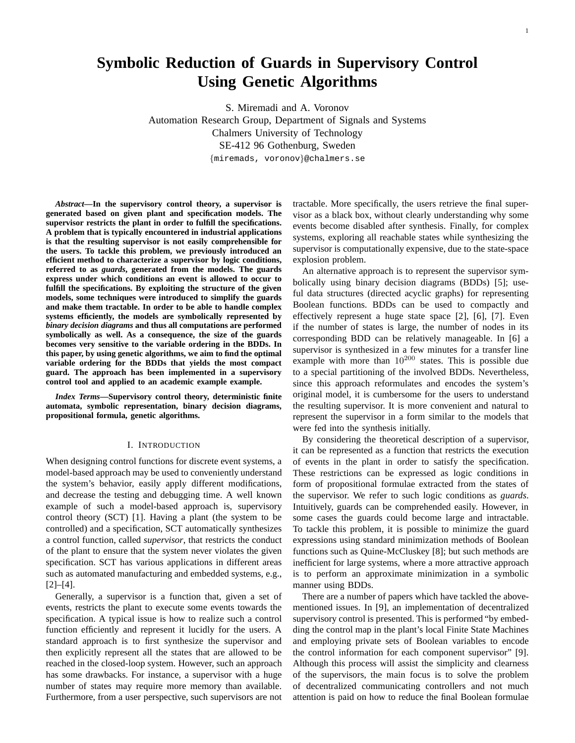# **Symbolic Reduction of Guards in Supervisory Control Using Genetic Algorithms**

S. Miremadi and A. Voronov Automation Research Group, Department of Signals and Systems Chalmers University of Technology SE-412 96 Gothenburg, Sweden {miremads, voronov}@chalmers.se

*Abstract***—In the supervisory control theory, a supervisor is generated based on given plant and specification models. The supervisor restricts the plant in order to fulfill the specifications. A problem that is typically encountered in industrial applications is that the resulting supervisor is not easily comprehensible for the users. To tackle this problem, we previously introduced an efficient method to characterize a supervisor by logic conditions, referred to as** *guards***, generated from the models. The guards express under which conditions an event is allowed to occur to fulfill the specifications. By exploiting the structure of the given models, some techniques were introduced to simplify the guards and make them tractable. In order to be able to handle complex systems efficiently, the models are symbolically represented by** *binary decision diagrams* **and thus all computations are performed symbolically as well. As a consequence, the size of the guards becomes very sensitive to the variable ordering in the BDDs. In this paper, by using genetic algorithms, we aim to find the optimal variable ordering for the BDDs that yields the most compact guard. The approach has been implemented in a supervisory control tool and applied to an academic example example.**

*Index Terms***—Supervisory control theory, deterministic finite automata, symbolic representation, binary decision diagrams, propositional formula, genetic algorithms.**

#### I. INTRODUCTION

When designing control functions for discrete event systems, a model-based approach may be used to conveniently understand the system's behavior, easily apply different modifications, and decrease the testing and debugging time. A well known example of such a model-based approach is, supervisory control theory (SCT) [1]. Having a plant (the system to be controlled) and a specification, SCT automatically synthesizes a control function, called *supervisor*, that restricts the conduct of the plant to ensure that the system never violates the given specification. SCT has various applications in different areas such as automated manufacturing and embedded systems, e.g., [2]–[4].

Generally, a supervisor is a function that, given a set of events, restricts the plant to execute some events towards the specification. A typical issue is how to realize such a control function efficiently and represent it lucidly for the users. A standard approach is to first synthesize the supervisor and then explicitly represent all the states that are allowed to be reached in the closed-loop system. However, such an approach has some drawbacks. For instance, a supervisor with a huge number of states may require more memory than available. Furthermore, from a user perspective, such supervisors are not tractable. More specifically, the users retrieve the final supervisor as a black box, without clearly understanding why some events become disabled after synthesis. Finally, for complex systems, exploring all reachable states while synthesizing the supervisor is computationally expensive, due to the state-space explosion problem.

An alternative approach is to represent the supervisor symbolically using binary decision diagrams (BDDs) [5]; useful data structures (directed acyclic graphs) for representing Boolean functions. BDDs can be used to compactly and effectively represent a huge state space [2], [6], [7]. Even if the number of states is large, the number of nodes in its corresponding BDD can be relatively manageable. In [6] a supervisor is synthesized in a few minutes for a transfer line example with more than  $10^{200}$  states. This is possible due to a special partitioning of the involved BDDs. Nevertheless, since this approach reformulates and encodes the system's original model, it is cumbersome for the users to understand the resulting supervisor. It is more convenient and natural to represent the supervisor in a form similar to the models that were fed into the synthesis initially.

By considering the theoretical description of a supervisor, it can be represented as a function that restricts the execution of events in the plant in order to satisfy the specification. These restrictions can be expressed as logic conditions in form of propositional formulae extracted from the states of the supervisor. We refer to such logic conditions as *guards*. Intuitively, guards can be comprehended easily. However, in some cases the guards could become large and intractable. To tackle this problem, it is possible to minimize the guard expressions using standard minimization methods of Boolean functions such as Quine-McCluskey [8]; but such methods are inefficient for large systems, where a more attractive approach is to perform an approximate minimization in a symbolic manner using BDDs.

There are a number of papers which have tackled the abovementioned issues. In [9], an implementation of decentralized supervisory control is presented. This is performed "by embedding the control map in the plant's local Finite State Machines and employing private sets of Boolean variables to encode the control information for each component supervisor" [9]. Although this process will assist the simplicity and clearness of the supervisors, the main focus is to solve the problem of decentralized communicating controllers and not much attention is paid on how to reduce the final Boolean formulae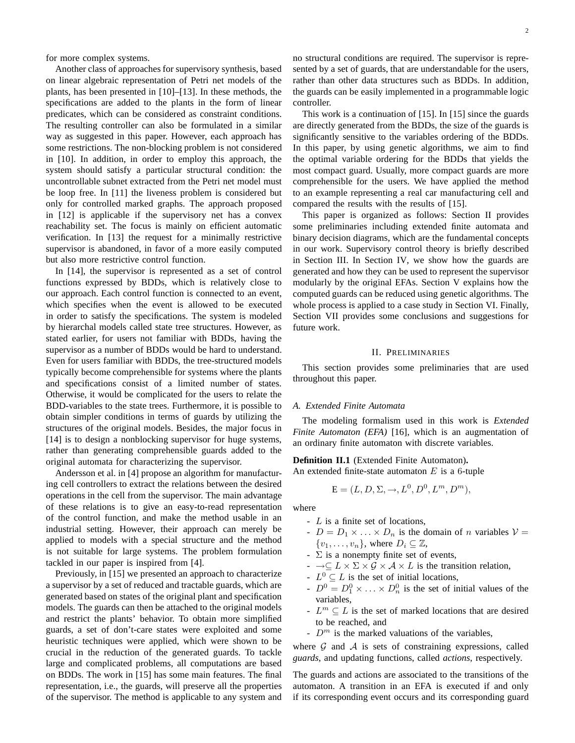for more complex systems.

Another class of approaches for supervisory synthesis, based on linear algebraic representation of Petri net models of the plants, has been presented in [10]–[13]. In these methods, the specifications are added to the plants in the form of linear predicates, which can be considered as constraint conditions. The resulting controller can also be formulated in a similar way as suggested in this paper. However, each approach has some restrictions. The non-blocking problem is not considered in [10]. In addition, in order to employ this approach, the system should satisfy a particular structural condition: the uncontrollable subnet extracted from the Petri net model must be loop free. In [11] the liveness problem is considered but only for controlled marked graphs. The approach proposed in [12] is applicable if the supervisory net has a convex reachability set. The focus is mainly on efficient automatic verification. In [13] the request for a minimally restrictive supervisor is abandoned, in favor of a more easily computed but also more restrictive control function.

In [14], the supervisor is represented as a set of control functions expressed by BDDs, which is relatively close to our approach. Each control function is connected to an event, which specifies when the event is allowed to be executed in order to satisfy the specifications. The system is modeled by hierarchal models called state tree structures. However, as stated earlier, for users not familiar with BDDs, having the supervisor as a number of BDDs would be hard to understand. Even for users familiar with BDDs, the tree-structured models typically become comprehensible for systems where the plants and specifications consist of a limited number of states. Otherwise, it would be complicated for the users to relate the BDD-variables to the state trees. Furthermore, it is possible to obtain simpler conditions in terms of guards by utilizing the structures of the original models. Besides, the major focus in [14] is to design a nonblocking supervisor for huge systems, rather than generating comprehensible guards added to the original automata for characterizing the supervisor.

Andersson et al. in [4] propose an algorithm for manufacturing cell controllers to extract the relations between the desired operations in the cell from the supervisor. The main advantage of these relations is to give an easy-to-read representation of the control function, and make the method usable in an industrial setting. However, their approach can merely be applied to models with a special structure and the method is not suitable for large systems. The problem formulation tackled in our paper is inspired from [4].

Previously, in [15] we presented an approach to characterize a supervisor by a set of reduced and tractable guards, which are generated based on states of the original plant and specification models. The guards can then be attached to the original models and restrict the plants' behavior. To obtain more simplified guards, a set of don't-care states were exploited and some heuristic techniques were applied, which were shown to be crucial in the reduction of the generated guards. To tackle large and complicated problems, all computations are based on BDDs. The work in [15] has some main features. The final representation, i.e., the guards, will preserve all the properties of the supervisor. The method is applicable to any system and

no structural conditions are required. The supervisor is represented by a set of guards, that are understandable for the users, rather than other data structures such as BDDs. In addition, the guards can be easily implemented in a programmable logic controller.

This work is a continuation of [15]. In [15] since the guards are directly generated from the BDDs, the size of the guards is significantly sensitive to the variables ordering of the BDDs. In this paper, by using genetic algorithms, we aim to find the optimal variable ordering for the BDDs that yields the most compact guard. Usually, more compact guards are more comprehensible for the users. We have applied the method to an example representing a real car manufacturing cell and compared the results with the results of [15].

This paper is organized as follows: Section II provides some preliminaries including extended finite automata and binary decision diagrams, which are the fundamental concepts in our work. Supervisory control theory is briefly described in Section III. In Section IV, we show how the guards are generated and how they can be used to represent the supervisor modularly by the original EFAs. Section V explains how the computed guards can be reduced using genetic algorithms. The whole process is applied to a case study in Section VI. Finally, Section VII provides some conclusions and suggestions for future work.

#### II. PRELIMINARIES

This section provides some preliminaries that are used throughout this paper.

#### *A. Extended Finite Automata*

The modeling formalism used in this work is *Extended Finite Automaton (EFA)* [16], which is an augmentation of an ordinary finite automaton with discrete variables.

**Definition II.1** (Extended Finite Automaton)**.**

An extended finite-state automaton  $E$  is a 6-tuple

$$
\mathbf{E} = (L, D, \Sigma, \rightarrow, L^0, D^0, L^m, D^m),
$$

where

- L is a finite set of locations,
- $D = D_1 \times \ldots \times D_n$  is the domain of n variables  $V =$  $\{v_1, \ldots, v_n\}$ , where  $D_i \subseteq \mathbb{Z}$ ,
- $\overline{\Sigma}$  is a nonempty finite set of events,
- $\rightarrow \subseteq L \times \Sigma \times \mathcal{G} \times \mathcal{A} \times L$  is the transition relation,
- $L^0 \subseteq L$  is the set of initial locations,
- $D^0 = D_1^0 \times \ldots \times D_n^0$  is the set of initial values of the variables,
- $L^m \subseteq L$  is the set of marked locations that are desired to be reached, and
- $D^m$  is the marked valuations of the variables,

where  $G$  and  $A$  is sets of constraining expressions, called *guards*, and updating functions, called *actions*, respectively.

The guards and actions are associated to the transitions of the automaton. A transition in an EFA is executed if and only if its corresponding event occurs and its corresponding guard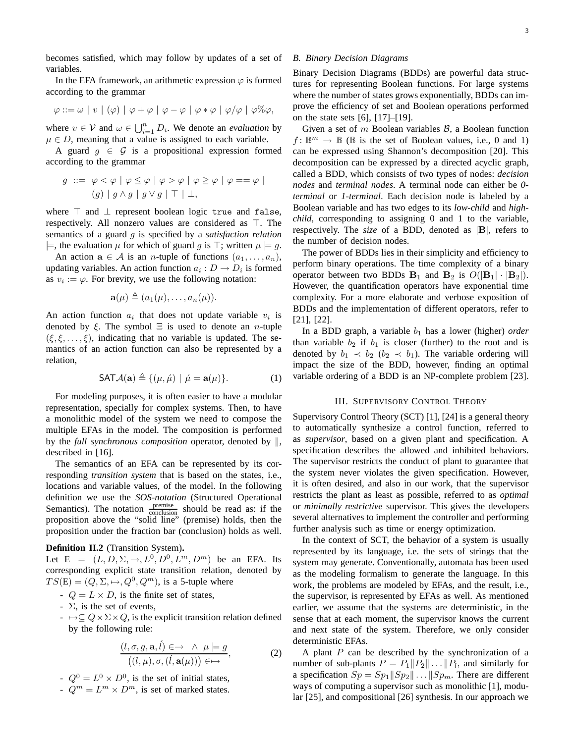becomes satisfied, which may follow by updates of a set of variables.

In the EFA framework, an arithmetic expression  $\varphi$  is formed according to the grammar

$$
\varphi ::= \omega \mid v \mid (\varphi) \mid \varphi + \varphi \mid \varphi - \varphi \mid \varphi * \varphi \mid \varphi / \varphi \mid \varphi \% \varphi,
$$

where  $v \in V$  and  $\omega \in \bigcup_{i=1}^n D_i$ . We denote an *evaluation* by  $\mu \in D$ , meaning that a value is assigned to each variable.

A guard  $g \in \mathcal{G}$  is a propositional expression formed according to the grammar

$$
g \ ::= \ \varphi < \varphi \mid \varphi \leq \varphi \mid \varphi > \varphi \mid \varphi \geq \varphi \mid \varphi == \varphi \mid
$$
\n
$$
(g) \mid g \land g \mid g \lor g \mid \top \mid \bot,
$$

where ⊤ and ⊥ represent boolean logic true and false, respectively. All nonzero values are considered as ⊤. The semantics of a guard g is specified by a *satisfaction relation*  $\models$ , the evaluation  $\mu$  for which of guard g is ⊤; written  $\mu \models q$ .

An action  $\mathbf{a} \in \mathcal{A}$  is an *n*-tuple of functions  $(a_1, \ldots, a_n)$ , updating variables. An action function  $a_i : D \to D_i$  is formed as  $v_i := \varphi$ . For brevity, we use the following notation:

$$
\mathbf{a}(\mu) \triangleq (a_1(\mu), \ldots, a_n(\mu)).
$$

An action function  $a_i$  that does not update variable  $v_i$  is denoted by  $\xi$ . The symbol  $\Xi$  is used to denote an *n*-tuple  $(\xi, \xi, \ldots, \xi)$ , indicating that no variable is updated. The semantics of an action function can also be represented by a relation,

$$
\mathsf{SAT} \mathcal{A}(\mathbf{a}) \triangleq \{ (\mu, \hat{\mu}) \mid \hat{\mu} = \mathbf{a}(\mu) \}. \tag{1}
$$

For modeling purposes, it is often easier to have a modular representation, specially for complex systems. Then, to have a monolithic model of the system we need to compose the multiple EFAs in the model. The composition is performed by the *full synchronous composition* operator, denoted by  $\parallel$ , described in [16].

The semantics of an EFA can be represented by its corresponding *transition system* that is based on the states, i.e., locations and variable values, of the model. In the following definition we use the *SOS-notation* (Structured Operational Semantics). The notation  $\frac{\text{premise}}{\text{conclusion}}$  should be read as: if the proposition above the "solid line" (premise) holds, then the proposition under the fraction bar (conclusion) holds as well.

#### **Definition II.2** (Transition System)**.**

Let  $E = (L, D, \Sigma, \rightarrow, L^0, D^0, L^m, D^m)$  be an EFA. Its corresponding explicit state transition relation, denoted by  $TS(E) = (Q, \Sigma, \rightarrowtail, Q^0, Q^m)$ , is a 5-tuple where

- $Q = L \times D$ , is the finite set of states,
- $\overline{\Sigma}$ , is the set of events,
- $\mapsto \subseteq Q \times \Sigma \times Q$ , is the explicit transition relation defined by the following rule:

$$
\frac{(l, \sigma, g, \mathbf{a}, \hat{l}) \in \to \ \land \ \mu \models g}{((l, \mu), \sigma, (\hat{l}, \mathbf{a}(\mu))) \in \to},
$$
\n(2)

- $-Q^0 = L^0 \times D^0$ , is the set of initial states,
- $Q^m = L^m \times D^m$ , is set of marked states.

#### *B. Binary Decision Diagrams*

Binary Decision Diagrams (BDDs) are powerful data structures for representing Boolean functions. For large systems where the number of states grows exponentially, BDDs can improve the efficiency of set and Boolean operations performed on the state sets [6], [17]–[19].

Given a set of  $m$  Boolean variables  $\mathcal{B}$ , a Boolean function  $f: \mathbb{B}^m \to \mathbb{B}$  ( $\mathbb B$  is the set of Boolean values, i.e., 0 and 1) can be expressed using Shannon's decomposition [20]. This decomposition can be expressed by a directed acyclic graph, called a BDD, which consists of two types of nodes: *decision nodes* and *terminal nodes*. A terminal node can either be *0 terminal* or *1-terminal*. Each decision node is labeled by a Boolean variable and has two edges to its *low-child* and *highchild*, corresponding to assigning 0 and 1 to the variable, respectively. The *size* of a BDD, denoted as |B|, refers to the number of decision nodes.

The power of BDDs lies in their simplicity and efficiency to perform binary operations. The time complexity of a binary operator between two BDDs  $B_1$  and  $B_2$  is  $O(|B_1|\cdot|B_2|)$ . However, the quantification operators have exponential time complexity. For a more elaborate and verbose exposition of BDDs and the implementation of different operators, refer to [21], [22].

In a BDD graph, a variable  $b_1$  has a lower (higher) *order* than variable  $b_2$  if  $b_1$  is closer (further) to the root and is denoted by  $b_1 \prec b_2$  ( $b_2 \prec b_1$ ). The variable ordering will impact the size of the BDD, however, finding an optimal variable ordering of a BDD is an NP-complete problem [23].

#### III. SUPERVISORY CONTROL THEORY

Supervisory Control Theory (SCT) [1], [24] is a general theory to automatically synthesize a control function, referred to as *supervisor*, based on a given plant and specification. A specification describes the allowed and inhibited behaviors. The supervisor restricts the conduct of plant to guarantee that the system never violates the given specification. However, it is often desired, and also in our work, that the supervisor restricts the plant as least as possible, referred to as *optimal* or *minimally restrictive* supervisor. This gives the developers several alternatives to implement the controller and performing further analysis such as time or energy optimization.

In the context of SCT, the behavior of a system is usually represented by its language, i.e. the sets of strings that the system may generate. Conventionally, automata has been used as the modeling formalism to generate the language. In this work, the problems are modeled by EFAs, and the result, i.e., the supervisor, is represented by EFAs as well. As mentioned earlier, we assume that the systems are deterministic, in the sense that at each moment, the supervisor knows the current and next state of the system. Therefore, we only consider deterministic EFAs.

A plant  $P$  can be described by the synchronization of a number of sub-plants  $P = P_1 || P_2 || \dots || P_l$ , and similarly for a specification  $Sp = Sp_1||Sp_2|| \dots ||Sp_m$ . There are different ways of computing a supervisor such as monolithic [1], modular [25], and compositional [26] synthesis. In our approach we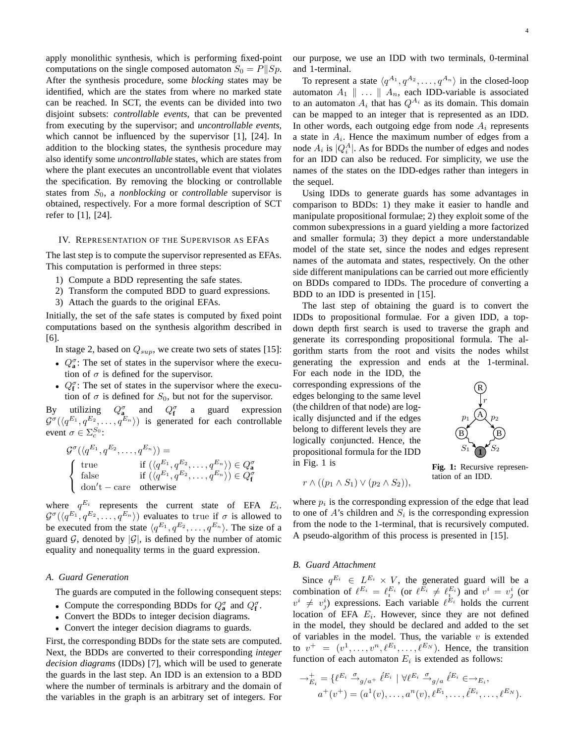apply monolithic synthesis, which is performing fixed-point computations on the single composed automaton  $S_0 = P||Sp$ . After the synthesis procedure, some *blocking* states may be identified, which are the states from where no marked state can be reached. In SCT, the events can be divided into two disjoint subsets: *controllable events*, that can be prevented from executing by the supervisor; and *uncontrollable events*, which cannot be influenced by the supervisor [1], [24]. In addition to the blocking states, the synthesis procedure may also identify some *uncontrollable* states, which are states from where the plant executes an uncontrollable event that violates the specification. By removing the blocking or controllable states from  $S_0$ , a *nonblocking* or *controllable* supervisor is obtained, respectively. For a more formal description of SCT refer to [1], [24].

### IV. REPRESENTATION OF THE SUPERVISOR AS EFAS

The last step is to compute the supervisor represented as EFAs. This computation is performed in three steps:

- 1) Compute a BDD representing the safe states.
- 2) Transform the computed BDD to guard expressions.
- 3) Attach the guards to the original EFAs.

Initially, the set of the safe states is computed by fixed point computations based on the synthesis algorithm described in [6].

- In stage 2, based on  $Q_{sup}$ , we create two sets of states [15]:
- $Q_a^{\sigma}$ : The set of states in the supervisor where the execution of  $\sigma$  is defined for the supervisor.
- $Q_f^{\sigma}$ : The set of states in the supervisor where the execution of  $\sigma$  is defined for  $S_0$ , but not for the supervisor.

By utilizing  $Q_{\mathbf{a}}^{\sigma}$  and  $Q_{\mathbf{f}}^{\sigma}$  a guard expression  $\mathcal{G}^{\sigma}(\langle q^{E_1}, q^{E_2}, \ldots, q^{E_n} \rangle)$  is generated for each controllable event  $\sigma \in \Sigma_c^{S_0}$ :

$$
\mathcal{G}^{\sigma}(\langle q^{E_1}, q^{E_2}, \dots, q^{E_n} \rangle) =
$$
\n
$$
\begin{cases}\n\text{true} & \text{if } (\langle q^{E_1}, q^{E_2}, \dots, q^{E_n} \rangle) \in Q^{\sigma}_{\mathbf{a}} \\
\text{false} & \text{if } (\langle q^{E_1}, q^{E_2}, \dots, q^{E_n} \rangle) \in Q^{\sigma}_{\mathbf{f}} \\
\text{don't} - \text{care} & \text{otherwise}\n\end{cases}
$$

where  $q^{E_i}$  represents the current state of EFA  $E_i$ .  $\mathcal{G}^{\sigma}(\langle q^{E_1}, q^{E_2}, \ldots, q^{E_n} \rangle)$  evaluates to true if  $\sigma$  is allowed to be executed from the state  $\langle q^{E_1}, q^{E_2}, \dots, q^{E_n} \rangle$ . The size of a guard  $G$ , denoted by  $|G|$ , is defined by the number of atomic equality and nonequality terms in the guard expression.

### *A. Guard Generation*

The guards are computed in the following consequent steps:

- Compute the corresponding BDDs for  $Q_{\mathbf{a}}^{\sigma}$  and  $Q_{\mathbf{f}}^{\sigma}$ .
- Convert the BDDs to integer decision diagrams.
- Convert the integer decision diagrams to guards.

First, the corresponding BDDs for the state sets are computed. Next, the BDDs are converted to their corresponding *integer decision diagrams* (IDDs) [7], which will be used to generate the guards in the last step. An IDD is an extension to a BDD where the number of terminals is arbitrary and the domain of the variables in the graph is an arbitrary set of integers. For our purpose, we use an IDD with two terminals, 0-terminal and 1-terminal.

To represent a state  $\langle q^{A_1}, q^{A_2}, \dots, q^{A_n} \rangle$  in the closed-loop automaton  $A_1 \parallel ... \parallel A_n$ , each IDD-variable is associated to an automaton  $A_i$  that has  $Q^{A_i}$  as its domain. This domain can be mapped to an integer that is represented as an IDD. In other words, each outgoing edge from node  $A_i$  represents a state in  $A_i$ . Hence the maximum number of edges from a node  $A_i$  is  $|Q_i^A|$ . As for BDDs the number of edges and nodes for an IDD can also be reduced. For simplicity, we use the names of the states on the IDD-edges rather than integers in the sequel.

Using IDDs to generate guards has some advantages in comparison to BDDs: 1) they make it easier to handle and manipulate propositional formulae; 2) they exploit some of the common subexpressions in a guard yielding a more factorized and smaller formula; 3) they depict a more understandable model of the state set, since the nodes and edges represent names of the automata and states, respectively. On the other side different manipulations can be carried out more efficiently on BDDs compared to IDDs. The procedure of converting a BDD to an IDD is presented in [15].

The last step of obtaining the guard is to convert the IDDs to propositional formulae. For a given IDD, a topdown depth first search is used to traverse the graph and generate its corresponding propositional formula. The algorithm starts from the root and visits the nodes whilst generating the expression and ends at the 1-terminal.

For each node in the IDD, the corresponding expressions of the edges belonging to the same level (the children of that node) are logically disjuncted and if the edges belong to different levels they are logically conjuncted. Hence, the propositional formula for the IDD in Fig. 1 is



**Fig. 1:** Recursive representation of an IDD.  $r \wedge ((p_1 \wedge S_1) \vee (p_2 \wedge S_2)),$ 

R

r  $p_1 \not\bigtriangleup \!\!\!\!\! \bigtriangleup p_2$ 

A

B) (B

**1**

 $S_1 \bigcap S_2$ 

where  $p_i$  is the corresponding expression of the edge that lead to one of  $A$ 's children and  $S_i$  is the corresponding expression from the node to the 1-terminal, that is recursively computed. A pseudo-algorithm of this process is presented in [15].

### *B. Guard Attachment*

Since  $q^{E_i} \in L^{E_i} \times V$ , the generated guard will be a combination of  $\ell^{E_i} = \ell_i^{E_i}$  (or  $\ell^{E_i} \neq \ell_i^{E_i}$ ) and  $v^i = v^i_j$  (or  $v^i \neq v^i_j$ ) expressions. Each variable  $\ell^{E_i}$  holds the current location of EFA  $E_i$ . However, since they are not defined in the model, they should be declared and added to the set of variables in the model. Thus, the variable  $v$  is extended to  $v^+ = (v^1, \ldots, v^n, \ell^{E_1}, \ldots, \ell^{E_N})$ . Hence, the transition function of each automaton  $E_i$  is extended as follows:

$$
\rightarrow_{E_i}^+ = \{ \ell^{E_i} \stackrel{\sigma}{\rightarrow}_{g/a^+} \ell^{E_i} \mid \forall \ell^{E_i} \stackrel{\sigma}{\rightarrow}_{g/a} \ell^{E_i} \in \rightarrow_{E_i}, a^+(v^+) = (a^1(v), \dots, a^n(v), \ell^{E_1}, \dots, \ell^{E_i}, \dots, \ell^{E_N}).
$$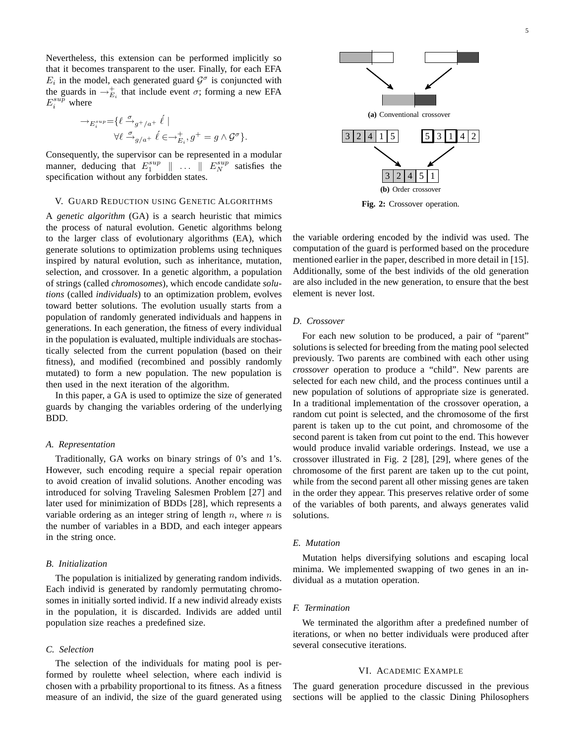Nevertheless, this extension can be performed implicitly so that it becomes transparent to the user. Finally, for each EFA  $E_i$  in the model, each generated guard  $\mathcal{G}^{\sigma}$  is conjuncted with the guards in  $\rightarrow_{E_i}^+$  that include event  $\sigma$ ; forming a new EFA  $E_i^{sup}$  where

$$
\label{eq:3.1} \begin{split} \rightarrow_{E_i^{sup}} = & \{ \ell \xrightarrow{ \sigma }_{g^+/a^+} \ell \mid \\ & \forall \ell \xrightarrow{ \sigma }_{g/a^+} \ell \in \rightarrow_{E_i}^+, g^+ = g \wedge \mathcal{G}^{\sigma} \} . \end{split}
$$

Consequently, the supervisor can be represented in a modular manner, deducing that  $E_1^{sup} \parallel \ldots \parallel E_N^{sup}$  satisfies the specification without any forbidden states.

#### V. GUARD REDUCTION USING GENETIC ALGORITHMS

A *genetic algorithm* (GA) is a search heuristic that mimics the process of natural evolution. Genetic algorithms belong to the larger class of evolutionary algorithms (EA), which generate solutions to optimization problems using techniques inspired by natural evolution, such as inheritance, mutation, selection, and crossover. In a genetic algorithm, a population of strings (called *chromosomes*), which encode candidate *solutions* (called *individuals*) to an optimization problem, evolves toward better solutions. The evolution usually starts from a population of randomly generated individuals and happens in generations. In each generation, the fitness of every individual in the population is evaluated, multiple individuals are stochastically selected from the current population (based on their fitness), and modified (recombined and possibly randomly mutated) to form a new population. The new population is then used in the next iteration of the algorithm.

In this paper, a GA is used to optimize the size of generated guards by changing the variables ordering of the underlying BDD.

#### *A. Representation*

Traditionally, GA works on binary strings of 0's and 1's. However, such encoding require a special repair operation to avoid creation of invalid solutions. Another encoding was introduced for solving Traveling Salesmen Problem [27] and later used for minimization of BDDs [28], which represents a variable ordering as an integer string of length  $n$ , where  $n$  is the number of variables in a BDD, and each integer appears in the string once.

### *B. Initialization*

The population is initialized by generating random individs. Each individ is generated by randomly permutating chromosomes in initially sorted individ. If a new individ already exists in the population, it is discarded. Individs are added until population size reaches a predefined size.

# *C. Selection*

The selection of the individuals for mating pool is performed by roulette wheel selection, where each individ is chosen with a prbability proportional to its fitness. As a fitness measure of an individ, the size of the guard generated using



**Fig. 2:** Crossover operation.

the variable ordering encoded by the individ was used. The computation of the guard is performed based on the procedure mentioned earlier in the paper, described in more detail in [15]. Additionally, some of the best individs of the old generation are also included in the new generation, to ensure that the best element is never lost.

# *D. Crossover*

For each new solution to be produced, a pair of "parent" solutions is selected for breeding from the mating pool selected previously. Two parents are combined with each other using *crossover* operation to produce a "child". New parents are selected for each new child, and the process continues until a new population of solutions of appropriate size is generated. In a traditional implementation of the crossover operation, a random cut point is selected, and the chromosome of the first parent is taken up to the cut point, and chromosome of the second parent is taken from cut point to the end. This however would produce invalid variable orderings. Instead, we use a crossover illustrated in Fig. 2 [28], [29], where genes of the chromosome of the first parent are taken up to the cut point, while from the second parent all other missing genes are taken in the order they appear. This preserves relative order of some of the variables of both parents, and always generates valid solutions.

#### *E. Mutation*

Mutation helps diversifying solutions and escaping local minima. We implemented swapping of two genes in an individual as a mutation operation.

#### *F. Termination*

We terminated the algorithm after a predefined number of iterations, or when no better individuals were produced after several consecutive iterations.

#### VI. ACADEMIC EXAMPLE

The guard generation procedure discussed in the previous sections will be applied to the classic Dining Philosophers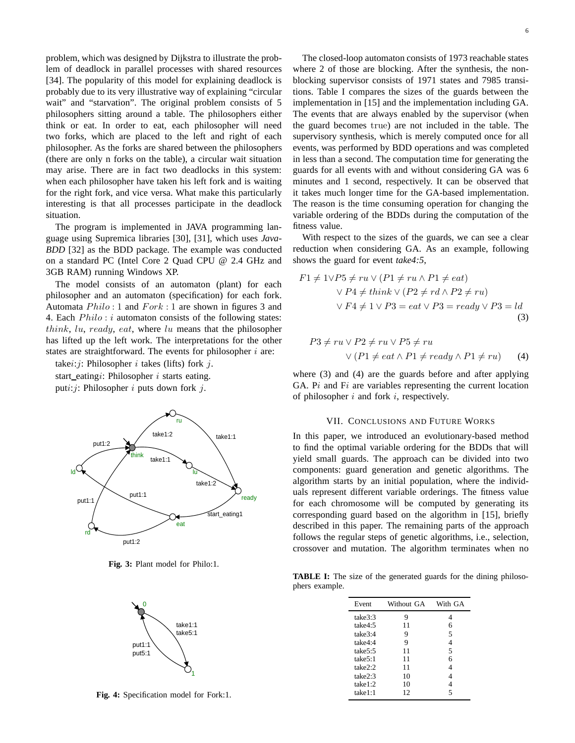problem, which was designed by Dijkstra to illustrate the problem of deadlock in parallel processes with shared resources [34]. The popularity of this model for explaining deadlock is probably due to its very illustrative way of explaining "circular wait" and "starvation". The original problem consists of 5 philosophers sitting around a table. The philosophers either think or eat. In order to eat, each philosopher will need two forks, which are placed to the left and right of each philosopher. As the forks are shared between the philosophers (there are only n forks on the table), a circular wait situation may arise. There are in fact two deadlocks in this system: when each philosopher have taken his left fork and is waiting for the right fork, and vice versa. What make this particularly interesting is that all processes participate in the deadlock situation.

The program is implemented in JAVA programming language using Supremica libraries [30], [31], which uses *Java-BDD* [32] as the BDD package. The example was conducted on a standard PC (Intel Core 2 Quad CPU @ 2.4 GHz and 3GB RAM) running Windows XP.

The model consists of an automaton (plant) for each philosopher and an automaton (specification) for each fork. Automata  $Philo: 1$  and  $Fork: 1$  are shown in figures 3 and 4. Each  $Philo: i$  automaton consists of the following states: think,  $lu$ , ready, eat, where  $lu$  means that the philosopher has lifted up the left work. The interpretations for the other states are straightforward. The events for philosopher  $i$  are:

takei: *j*: Philosopher *i* takes (lifts) fork *j*.

start\_eatingi: Philosopher  $i$  starts eating. puti: $i$ : Philosopher  $i$  puts down fork  $j$ .



**Fig. 3:** Plant model for Philo:1.



**Fig. 4:** Specification model for Fork:1.

The closed-loop automaton consists of 1973 reachable states where 2 of those are blocking. After the synthesis, the nonblocking supervisor consists of 1971 states and 7985 transitions. Table I compares the sizes of the guards between the implementation in [15] and the implementation including GA. The events that are always enabled by the supervisor (when the guard becomes true) are not included in the table. The supervisory synthesis, which is merely computed once for all events, was performed by BDD operations and was completed in less than a second. The computation time for generating the guards for all events with and without considering GA was 6 minutes and 1 second, respectively. It can be observed that it takes much longer time for the GA-based implementation. The reason is the time consuming operation for changing the variable ordering of the BDDs during the computation of the fitness value.

With respect to the sizes of the guards, we can see a clear reduction when considering GA. As an example, following shows the guard for event *take4:5*,

$$
F1 \neq 1 \lor P5 \neq ru \lor (P1 \neq ru \land P1 \neq eat)
$$
  
 
$$
\lor P4 \neq think \lor (P2 \neq rd \land P2 \neq ru)
$$
  
 
$$
\lor F4 \neq 1 \lor P3 = eat \lor P3 = ready \lor P3 = ld
$$
  
(3)

$$
P3 \neq ru \lor P2 \neq ru \lor P5 \neq ru
$$
  
 
$$
\lor (P1 \neq eat \land P1 \neq ready \land P1 \neq ru) \tag{4}
$$

where (3) and (4) are the guards before and after applying GA.  $Pi$  and  $Fi$  are variables representing the current location of philosopher  $i$  and fork  $i$ , respectively.

#### VII. CONCLUSIONS AND FUTURE WORKS

In this paper, we introduced an evolutionary-based method to find the optimal variable ordering for the BDDs that will yield small guards. The approach can be divided into two components: guard generation and genetic algorithms. The algorithm starts by an initial population, where the individuals represent different variable orderings. The fitness value for each chromosome will be computed by generating its corresponding guard based on the algorithm in [15], briefly described in this paper. The remaining parts of the approach follows the regular steps of genetic algorithms, i.e., selection, crossover and mutation. The algorithm terminates when no

**TABLE I:** The size of the generated guards for the dining philosophers example.

| Event    | Without GA | With GA |
|----------|------------|---------|
| take3:3  | 9          |         |
| take4:5  | 11         | 6       |
| take3:4  | 9          | 5       |
| take4:4  | 9          | 4       |
| take5:5  | 11         | 5       |
| take 5:1 | 11         | 6       |
| take2:2  | 11         |         |
| take2:3  | 10         |         |
| take 1:2 | 10         |         |
| take1:1  | 12         |         |
|          |            |         |